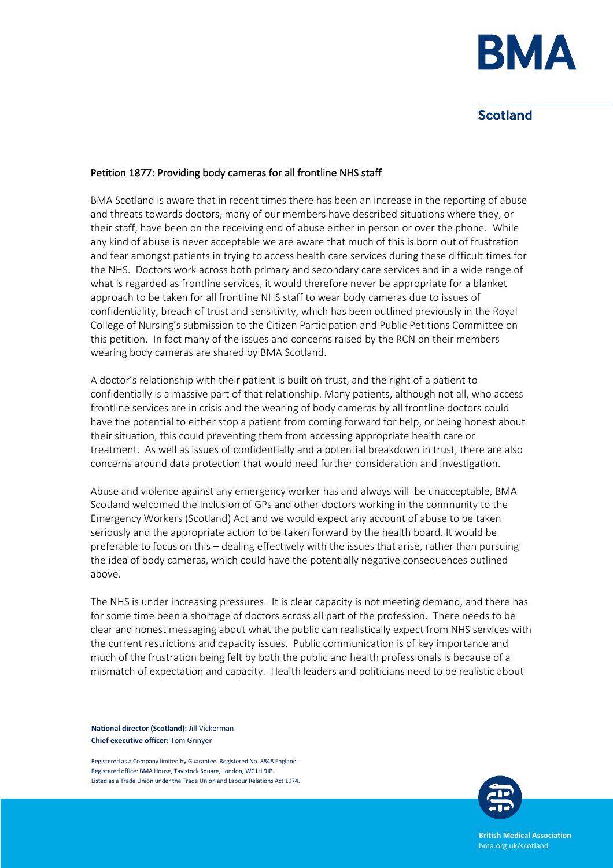

## **Scotland**

## Petition 1877: Providing body cameras for all frontline NHS staff

BMA Scotland is aware that in recent times there has been an increase in the reporting of abuse and threats towards doctors, many of our members have described situations where they, or their staff, have been on the receiving end of abuse either in person or over the phone. While any kind of abuse is never acceptable we are aware that much of this is born out of frustration and fear amongst patients in trying to access health care services during these difficult times for the NHS. Doctors work across both primary and secondary care services and in a wide range of what is regarded as frontline services, it would therefore never be appropriate for a blanket approach to be taken for all frontline NHS staff to wear body cameras due to issues of confidentiality, breach of trust and sensitivity, which has been outlined previously in the Royal College of Nursing's submission to the Citizen Participation and Public Petitions Committee on this petition. In fact many of the issues and concerns raised by the RCN on their members wearing body cameras are shared by BMA Scotland.

A doctor's relationship with their patient is built on trust, and the right of a patient to confidentially is a massive part of that relationship. Many patients, although not all, who access frontline services are in crisis and the wearing of body cameras by all frontline doctors could have the potential to either stop a patient from coming forward for help, or being honest about their situation, this could preventing them from accessing appropriate health care or treatment. As well as issues of confidentially and a potential breakdown in trust, there are also concerns around data protection that would need further consideration and investigation.

Abuse and violence against any emergency worker has and always will be unacceptable, BMA Scotland welcomed the inclusion of GPs and other doctors working in the community to the Emergency Workers (Scotland) Act and we would expect any account of abuse to be taken seriously and the appropriate action to be taken forward by the health board. It would be preferable to focus on this – dealing effectively with the issues that arise, rather than pursuing the idea of body cameras, which could have the potentially negative consequences outlined above.

The NHS is under increasing pressures. It is clear capacity is not meeting demand, and there has for some time been a shortage of doctors across all part of the profession. There needs to be clear and honest messaging about what the public can realistically expect from NHS services with the current restrictions and capacity issues. Public communication is of key importance and much of the frustration being felt by both the public and health professionals is because of a mismatch of expectation and capacity. Health leaders and politicians need to be realistic about

**National director (Scotland):** Jill Vickerman **Chief executive officer:** Tom Grinyer

Registered as a Company limited by Guarantee. Registered No. 8848 England. Registered office: BMA House, Tavistock Square, London, WC1H 9JP. Listed as a Trade Union under the Trade Union and Labour Relations Act 1974.



**British Medical Association** bma.org.uk/scotland